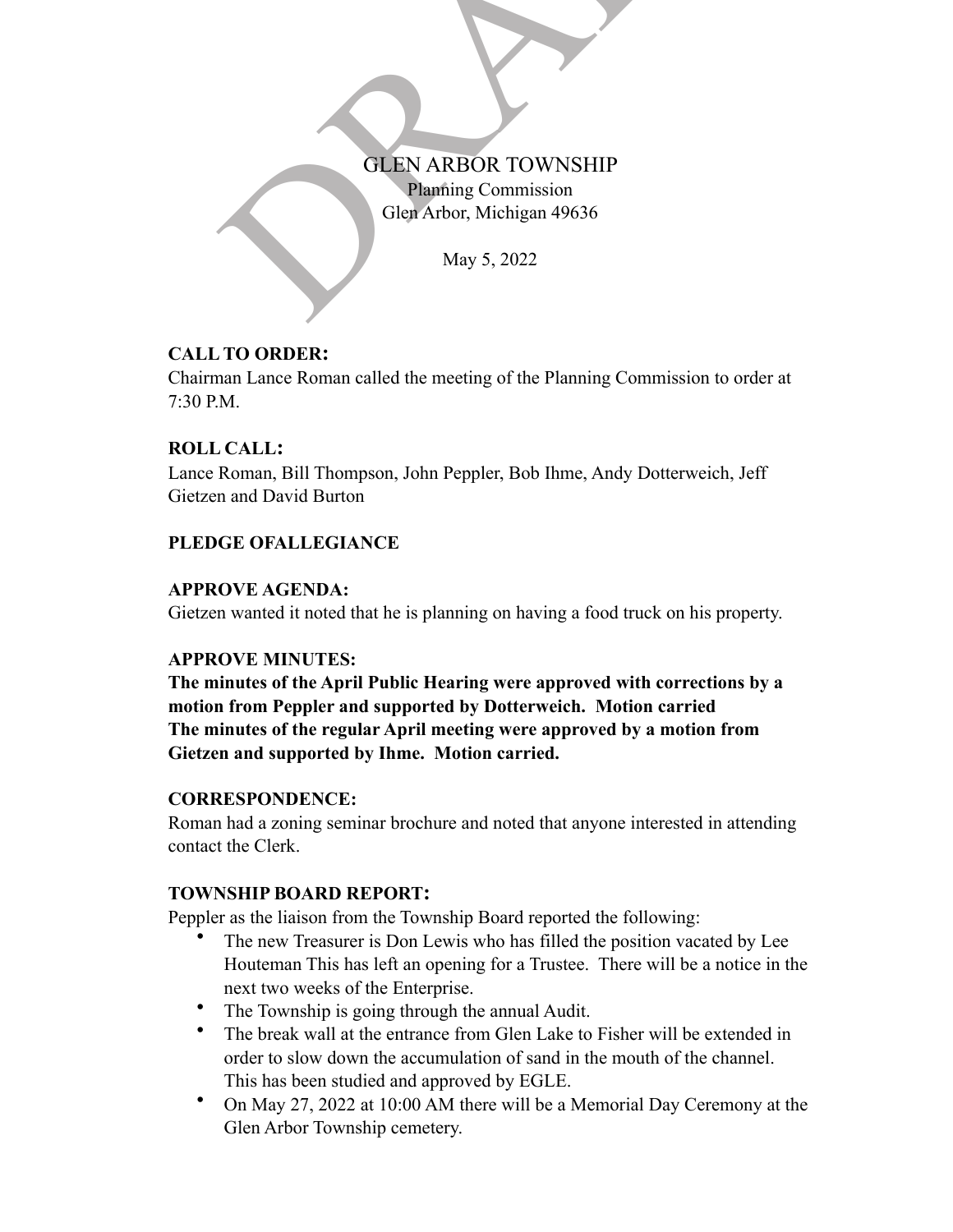

### **CALL TO ORDER:**

Chairman Lance Roman called the meeting of the Planning Commission to order at 7:30 P.M.

### **ROLL CALL:**

Lance Roman, Bill Thompson, John Peppler, Bob Ihme, Andy Dotterweich, Jeff Gietzen and David Burton

### **PLEDGE OFALLEGIANCE**

#### **APPROVE AGENDA:**

Gietzen wanted it noted that he is planning on having a food truck on his property.

#### **APPROVE MINUTES:**

**The minutes of the April Public Hearing were approved with corrections by a motion from Peppler and supported by Dotterweich. Motion carried The minutes of the regular April meeting were approved by a motion from Gietzen and supported by Ihme. Motion carried.**

#### **CORRESPONDENCE:**

Roman had a zoning seminar brochure and noted that anyone interested in attending contact the Clerk.

#### **TOWNSHIP BOARD REPORT:**

Peppler as the liaison from the Township Board reported the following:

- The new Treasurer is Don Lewis who has filled the position vacated by Lee Houteman This has left an opening for a Trustee. There will be a notice in the next two weeks of the Enterprise.
- The Township is going through the annual Audit.
- The break wall at the entrance from Glen Lake to Fisher will be extended in order to slow down the accumulation of sand in the mouth of the channel. This has been studied and approved by EGLE.
- On May 27, 2022 at 10:00 AM there will be a Memorial Day Ceremony at the Glen Arbor Township cemetery.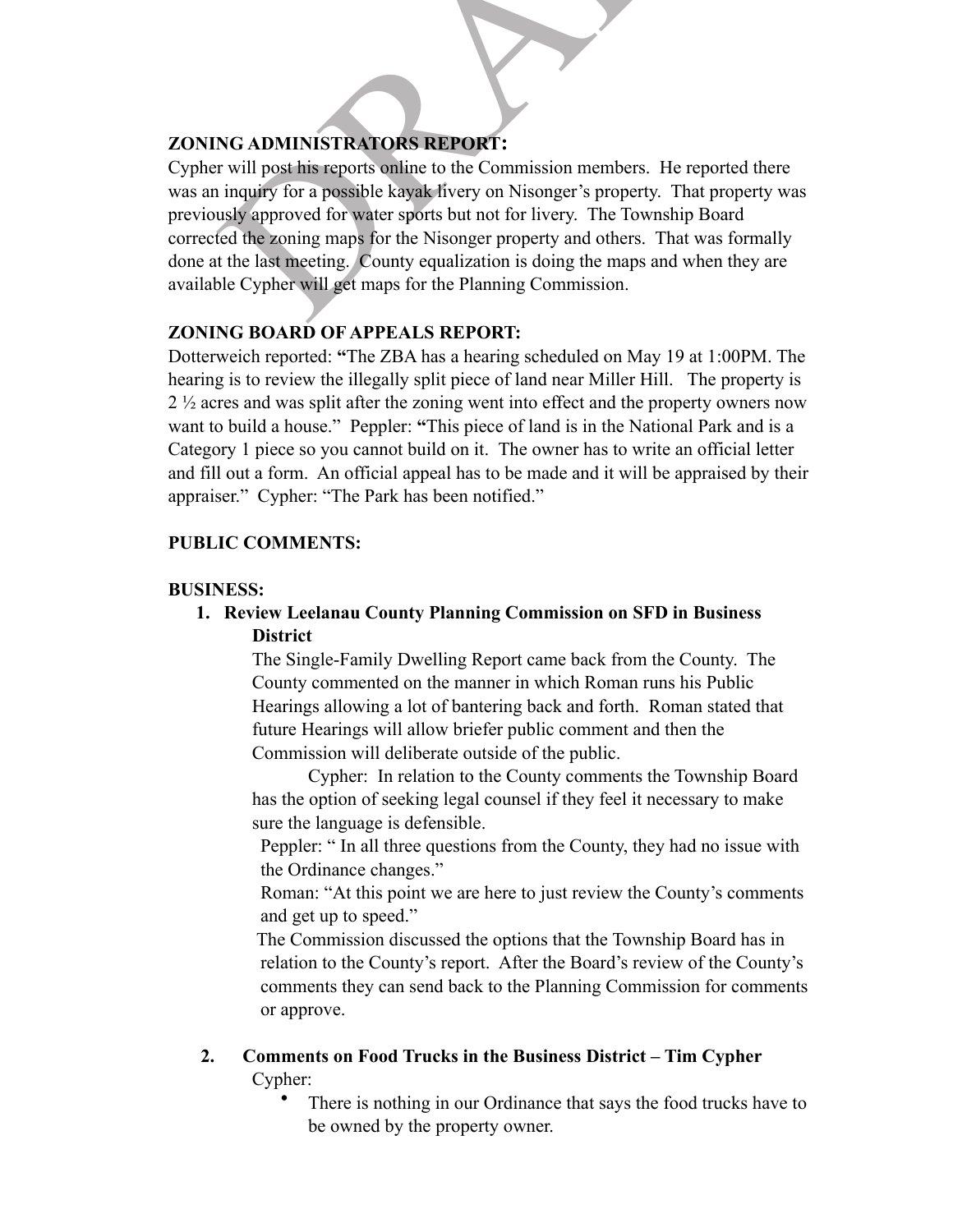### **ZONING ADMINISTRATORS REPORT :**

NG ADMINISTRATORS REPORT:<br>
I will post his reports online to the Commission members. He reported i<br>
inquiry for a possible kayak hvery on Nisonger's property. That proper<br>
usly approved for water sports but not for livery. Cypher will post his reports online to the Commission members. He reported there was an inquiry for a possible kayak livery on Nisonger's property. That property was previously approved for water sports but not for livery. The Township Board corrected the zoning maps for the Nisonger property and others. That was formally done at the last meeting. County equalization is doing the maps and when they are available Cypher will get maps for the Planning Commission.

# **ZONING BOARD OF APPEALS REPORT:**

Dotterweich reported: **"**The ZBA has a hearing scheduled on May 19 at 1:00PM. The hearing is to review the illegally split piece of land near Miller Hill. The property is 2 ½ acres and was split after the zoning went into effect and the property owners now want to build a house." Peppler: **"**This piece of land is in the National Park and is a Category 1 piece so you cannot build on it.The owner has to write an official letter and fill out a form. An official appeal has to be made and it will be appraised by their appraiser." Cypher: "The Park has been notified."

### **PUBLIC COMMENTS:**

### **BUSINESS:**

**1. Review Leelanau County Planning Commission on SFD in Business District**

The Single-Family Dwelling Report came back from the County. The County commented on the manner in which Roman runs his Public Hearings allowing a lot of bantering back and forth. Roman stated that future Hearings will allow briefer public comment and then the Commission will deliberate outside of the public.

Cypher: In relation to the County comments the Township Board has the option of seeking legal counsel if they feel it necessary to make sure the language is defensible.

Peppler: " In all three questions from the County, they had no issue with the Ordinance changes."

Roman: "At this point we are here to just review the County's comments and get up to speed."

 The Commission discussed the options that the Township Board has in relation to the County's report. After the Board's review of the County's comments they can send back to the Planning Commission for comments or approve.

- **2. Comments on Food Trucks in the Business District Tim Cypher** Cypher:
	- There is nothing in our Ordinance that says the food trucks have to be owned by the property owner.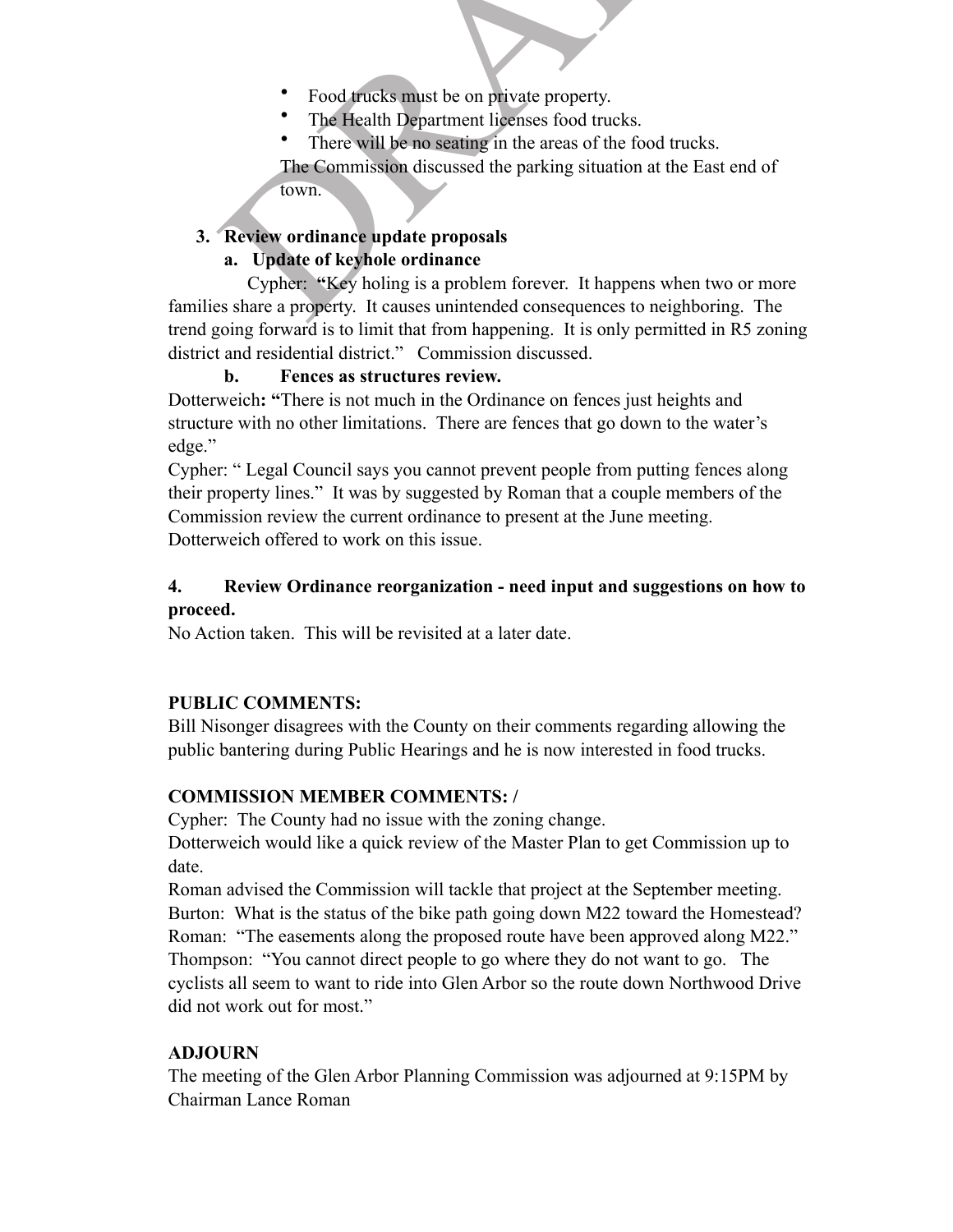- 
- 
- 

The Commission discussed the parking situation at the East end of

town.

### **3. Review ordinance update proposals**

# **a. Update of keyhole ordinance**

• Food trucks must be on private property.<br>• The Health Department licenses food trucks.<br>• There will be no seating in the areas of the food trucks.<br>• The Commission discussed the parking situation at the East end<br>town.<br>• Cypher: **"**Key holing is a problem forever. It happens when two or more families share a property. It causes unintended consequences to neighboring. The trend going forward is to limit that from happening. It is only permitted in R5 zoning district and residential district." Commission discussed.

**b. Fences as structures review.**

Dotterweich**: "**There is not much in the Ordinance on fences just heights and structure with no other limitations.There are fences that go down to the water's edge."

Cypher: " Legal Council says you cannot prevent people from putting fences along their property lines."It was by suggested by Roman that a couple members of the Commission review the current ordinance to present at the June meeting. Dotterweich offered to work on this issue.

### **4. Review Ordinance reorganization - need input and suggestions on how to proceed.**

No Action taken. This will be revisited at a later date.

### **PUBLIC COMMENTS:**

Bill Nisonger disagrees with the County on their comments regarding allowing the public bantering during Public Hearings and he is now interested in food trucks.

# **COMMISSION MEMBER COMMENTS: /**

Cypher: The County had no issue with the zoning change.

Dotterweich would like a quick review of the Master Plan to get Commission up to date.

Roman advised the Commission will tackle that project at the September meeting. Burton: What is the status of the bike path going down M22 toward the Homestead? Roman: "The easements along the proposed route have been approved along M22." Thompson: "You cannot direct people to go where they do not want to go. The cyclists all seem to want to ride into Glen Arbor so the route down Northwood Drive did not work out for most."

# **ADJOURN**

The meeting of the Glen Arbor Planning Commission was adjourned at 9:15PM by Chairman Lance Roman